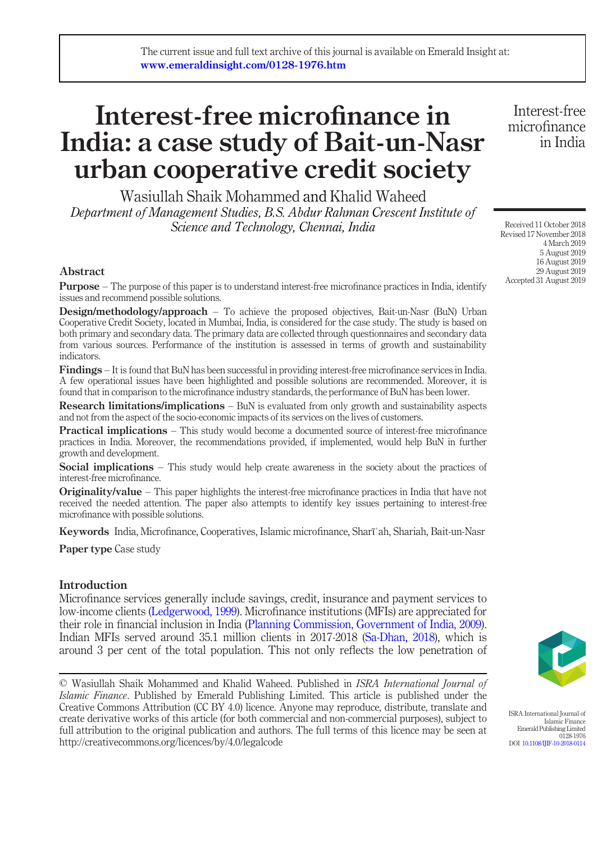# Interest-free microfinance in India: a case study of Bait-un-Nasr urban cooperative credit society

Wasiullah Shaik Mohammed and Khalid Waheed Department of Management Studies, B.S. Abdur Rahman Crescent Institute of Science and Technology, Chennai, India

Abstract

Purpose – The purpose of this paper is to understand interest-free microfinance practices in India, identify issues and recommend possible solutions.

Design/methodology/approach – To achieve the proposed objectives, Bait-un-Nasr (BuN) Urban Cooperative Credit Society, located in Mumbai, India, is considered for the case study. The study is based on both primary and secondary data. The primary data are collected through questionnaires and secondary data from various sources. Performance of the institution is assessed in terms of growth and sustainability indicators.

Findings – It is found that BuN has been successful in providing interest-free microfinance services in India. A few operational issues have been highlighted and possible solutions are recommended. Moreover, it is found that in comparison to the microfinance industry standards, the performance of BuN has been lower.

**Research limitations/implications** – BuN is evaluated from only growth and sustainability aspects and not from the aspect of the socio-economic impacts of its services on the lives of customers.

**Practical implications** – This study would become a documented source of interest-free microfinance practices in India. Moreover, the recommendations provided, if implemented, would help BuN in further growth and development.

Social implications – This study would help create awareness in the society about the practices of interest-free microfinance.

**Originality/value** – This paper highlights the interest-free microfinance practices in India that have not received the needed attention. The paper also attempts to identify key issues pertaining to interest-free microfinance with possible solutions.

Keywords India, Microfinance, Cooperatives, Islamic microfinance, Sharīʿah, Shariah, Bait-un-Nasr

Paper type Case study

# Introduction

Microfinance services generally include savings, credit, insurance and payment services to low-income clients [\(Ledgerwood, 1999](#page-14-0)). Microfinance institutions (MFIs) are appreciated for their role in financial inclusion in India [\(Planning Commission, Government of India, 2009\)](#page-15-0). Indian MFIs served around 35.1 million clients in 2017-2018 [\(Sa-Dhan, 2018](#page-15-1)), which is around 3 per cent of the total population. This not only reflects the low penetration of

Received 11 October 2018 Revised 17 November 2018 4 March 2019 5 August 2019 16 August 2019 29 August 2019

Interest-free microfinance in India

Accepted 31 August 2019



ISRA International Journal of Islamic Finance Emerald Publishing Limited 0128-1976 DOI [10.1108/IJIF-10-2018-0114](http://dx.doi.org/10.1108/IJIF-10-2018-0114)

<sup>©</sup> Wasiullah Shaik Mohammed and Khalid Waheed. Published in ISRA International Journal of Islamic Finance. Published by Emerald Publishing Limited. This article is published under the Creative Commons Attribution (CC BY 4.0) licence. Anyone may reproduce, distribute, translate and create derivative works of this article (for both commercial and non-commercial purposes), subject to full attribution to the original publication and authors. The full terms of this licence may be seen at http://creativecommons.org/licences/by/4.0/legalcode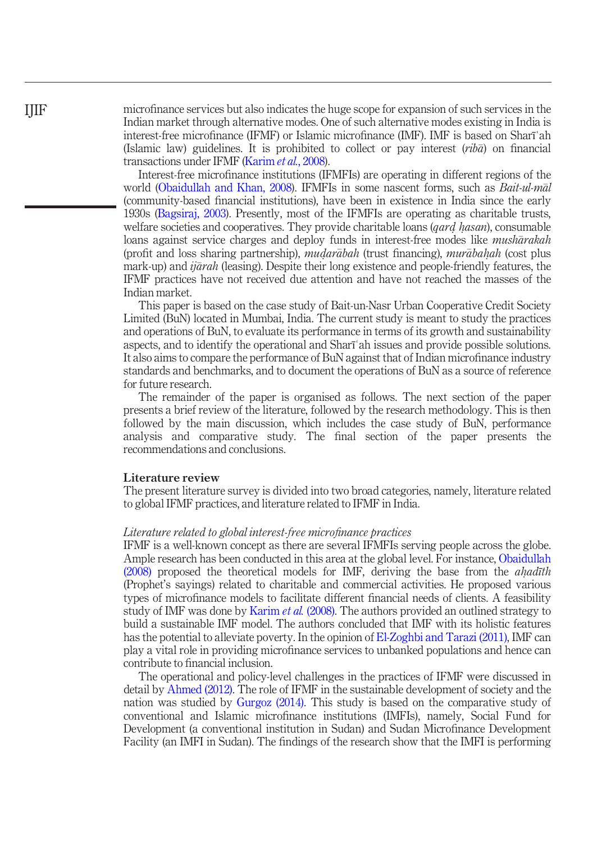microfinance services but also indicates the huge scope for expansion of such services in the Indian market through alternative modes. One of such alternative modes existing in India is interest-free microfinance (IFMF) or Islamic microfinance (IMF). IMF is based on Sharīʿah (Islamic law) guidelines. It is prohibited to collect or pay interest  $(rib\bar{\alpha})$  on financial transactions under IFMF [\(Karim](#page-14-1) et al., 2008).

Interest-free microfinance institutions (IFMFIs) are operating in different regions of the world ([Obaidullah and Khan, 2008](#page-14-2)). IFMFIs in some nascent forms, such as *Bait-ul-mal* (community-based financial institutions), have been in existence in India since the early 1930s [\(Bagsiraj, 2003](#page-14-3)). Presently, most of the IFMFIs are operating as charitable trusts, welfare societies and cooperatives. They provide charitable loans (*qard hasan*), consumable<br>loans against service charges and deploy funds in interest-free modes like *musharakah* loans against service charges and deploy funds in interest-free modes like *musharakah* (profit and loss sharing partnership), *mudarābah* (trust financing), *murābaḥah* (cost plus<br>mark-up) and *jiārah* (leasing). Despite their long existence and people-friendly features the mark-up) and  $ij\bar{a}rah$  (leasing). Despite their long existence and people-friendly features, the IFMF practices have not received due attention and have not reached the masses of the Indian market.

This paper is based on the case study of Bait-un-Nasr Urban Cooperative Credit Society Limited (BuN) located in Mumbai, India. The current study is meant to study the practices and operations of BuN, to evaluate its performance in terms of its growth and sustainability aspects, and to identify the operational and Sharīʿah issues and provide possible solutions. It also aims to compare the performance of BuN against that of Indian microfinance industry standards and benchmarks, and to document the operations of BuN as a source of reference for future research.

The remainder of the paper is organised as follows. The next section of the paper presents a brief review of the literature, followed by the research methodology. This is then followed by the main discussion, which includes the case study of BuN, performance analysis and comparative study. The final section of the paper presents the recommendations and conclusions.

## Literature review

The present literature survey is divided into two broad categories, namely, literature related to global IFMF practices, and literature related to IFMF in India.

## Literature related to global interest-free microfinance practices

IFMF is a well-known concept as there are several IFMFIs serving people across the globe. Ample research has been conducted in this area at the global level. For instance, [Obaidullah](#page-14-4)  $(2008)$  proposed the theoretical models for IMF, deriving the base from the *ahadith* (Prophet's sayings) related to charitable and commercial activities. He proposed various (Prophet's sayings) related to charitable and commercial activities. He proposed various types of microfinance models to facilitate different financial needs of clients. A feasibility study of IMF was done by [Karim](#page-14-1) *et al.* (2008). The authors provided an outlined strategy to build a sustainable IMF model. The authors concluded that IMF with its holistic features has the potential to alleviate poverty. In the opinion of [El-Zoghbi and Tarazi \(2011\)](#page-14-5), IMF can play a vital role in providing microfinance services to unbanked populations and hence can contribute to financial inclusion.

The operational and policy-level challenges in the practices of IFMF were discussed in detail by [Ahmed \(2012\).](#page-14-6) The role of IFMF in the sustainable development of society and the nation was studied by [Gurgoz \(2014\)](#page-14-7). This study is based on the comparative study of conventional and Islamic microfinance institutions (IMFIs), namely, Social Fund for Development (a conventional institution in Sudan) and Sudan Microfinance Development Facility (an IMFI in Sudan). The findings of the research show that the IMFI is performing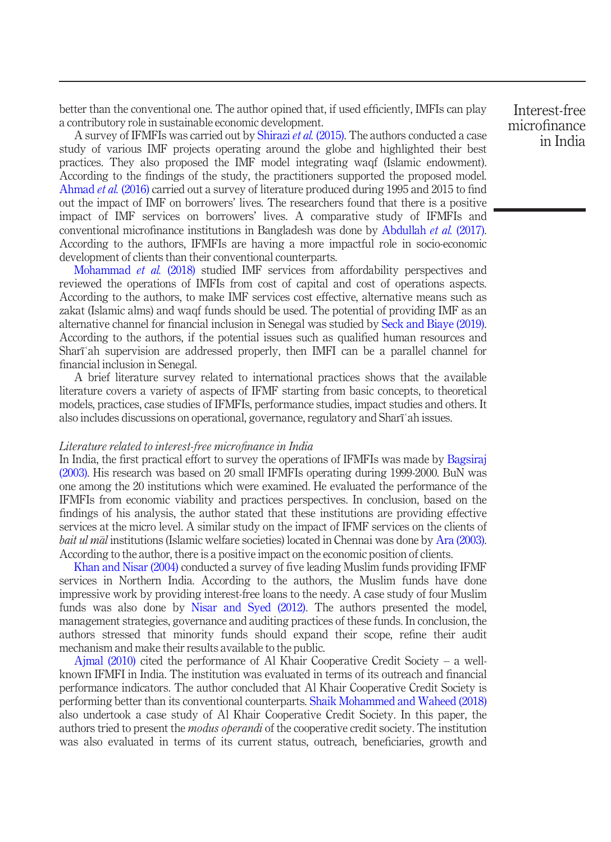better than the conventional one. The author opined that, if used efficiently, IMFIs can play a contributory role in sustainable economic development.

A survey of IFMFIs was carried out by [Shirazi](#page-15-2) et al. (2015). The authors conducted a case study of various IMF projects operating around the globe and highlighted their best practices. They also proposed the IMF model integrating waqf (Islamic endowment). According to the findings of the study, the practitioners supported the proposed model. [Ahmad](#page-13-0) et al. (2016) carried out a survey of literature produced during 1995 and 2015 to find out the impact of IMF on borrowers' lives. The researchers found that there is a positive impact of IMF services on borrowers' lives. A comparative study of IFMFIs and conventional microfinance institutions in Bangladesh was done by [Abdullah](#page-13-1) et al. (2017). According to the authors, IFMFIs are having a more impactful role in socio-economic development of clients than their conventional counterparts.

[Mohammad](#page-14-8) et al. (2018) studied IMF services from affordability perspectives and reviewed the operations of IMFIs from cost of capital and cost of operations aspects. According to the authors, to make IMF services cost effective, alternative means such as zakat (Islamic alms) and waqf funds should be used. The potential of providing IMF as an alternative channel for financial inclusion in Senegal was studied by [Seck and Biaye \(2019\)](#page-15-3). According to the authors, if the potential issues such as qualified human resources and Sharīʿah supervision are addressed properly, then IMFI can be a parallel channel for financial inclusion in Senegal.

A brief literature survey related to international practices shows that the available literature covers a variety of aspects of IFMF starting from basic concepts, to theoretical models, practices, case studies of IFMFIs, performance studies, impact studies and others. It also includes discussions on operational, governance, regulatory and Sharīʿah issues.

#### Literature related to interest-free microfinance in India

In India, the first practical effort to survey the operations of IFMFIs was made by [Bagsiraj](#page-14-3) [\(2003\)](#page-14-3). His research was based on 20 small IFMFIs operating during 1999-2000. BuN was one among the 20 institutions which were examined. He evaluated the performance of the IFMFIs from economic viability and practices perspectives. In conclusion, based on the findings of his analysis, the author stated that these institutions are providing effective services at the micro level. A similar study on the impact of IFMF services on the clients of bait ul mal institutions (Islamic welfare societies) located in Chennai was done by [Ara \(2003\)](#page-14-9). According to the author, there is a positive impact on the economic position of clients.

[Khan and Nisar \(2004\)](#page-14-10) conducted a survey of five leading Muslim funds providing IFMF services in Northern India. According to the authors, the Muslim funds have done impressive work by providing interest-free loans to the needy. A case study of four Muslim funds was also done by [Nisar and Syed \(2012\).](#page-14-11) The authors presented the model, management strategies, governance and auditing practices of these funds. In conclusion, the authors stressed that minority funds should expand their scope, refine their audit mechanism and make their results available to the public.

[Ajmal \(2010\)](#page-14-12) cited the performance of Al Khair Cooperative Credit Society – a wellknown IFMFI in India. The institution was evaluated in terms of its outreach and financial performance indicators. The author concluded that Al Khair Cooperative Credit Society is performing better than its conventional counterparts. [Shaik Mohammed and Waheed \(2018\)](#page-15-4) also undertook a case study of Al Khair Cooperative Credit Society. In this paper, the authors tried to present the *modus operandi* of the cooperative credit society. The institution was also evaluated in terms of its current status, outreach, beneficiaries, growth and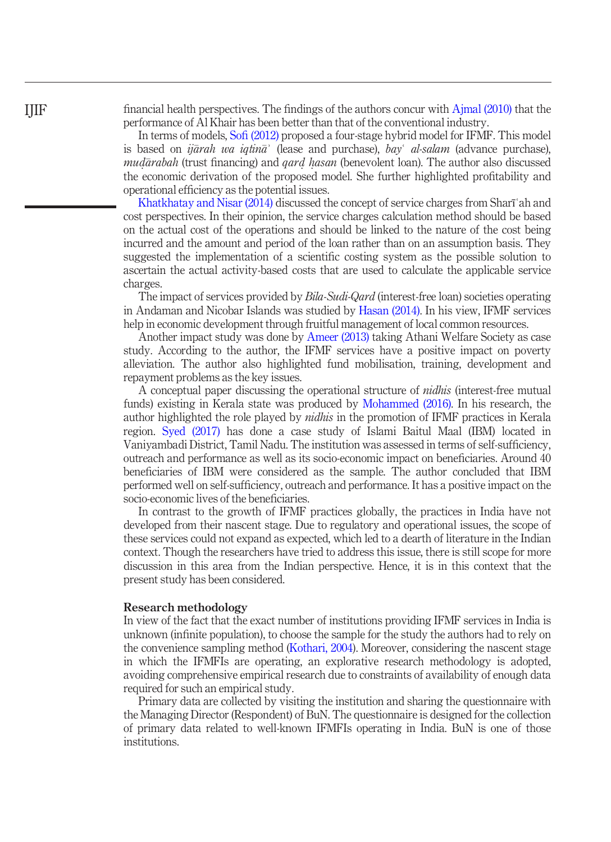financial health perspectives. The findings of the authors concur with [Ajmal \(2010\)](#page-14-12) that the performance of Al Khair has been better than that of the conventional industry.

In terms of models, Sofi [\(2012\)](#page-15-5) proposed a four-stage hybrid model for IFMF. This model is based on *ijarah wa iqtina*<sup> $\dot{a}$ </sup> (lease and purchase), *bay al-salam* (advance purchase),  $mud\bar{a}rabah$  (trust financing) and  $qard$  hasan (benevolent loan). The author also discussed<br>the economic derivation of the proposed model. She further highlighted profitability and the economic derivation of the proposed model. She further highlighted profitability and operational efficiency as the potential issues.

[Khatkhatay and Nisar \(2014\)](#page-14-13) discussed the concept of service charges from Sharīʿah and cost perspectives. In their opinion, the service charges calculation method should be based on the actual cost of the operations and should be linked to the nature of the cost being incurred and the amount and period of the loan rather than on an assumption basis. They suggested the implementation of a scientific costing system as the possible solution to ascertain the actual activity-based costs that are used to calculate the applicable service charges.

The impact of services provided by Bila-Sudi-Qard (interest-free loan) societies operating in Andaman and Nicobar Islands was studied by [Hasan \(2014\)](#page-14-14). In his view, IFMF services help in economic development through fruitful management of local common resources.

Another impact study was done by [Ameer \(2013\)](#page-14-15) taking Athani Welfare Society as case study. According to the author, the IFMF services have a positive impact on poverty alleviation. The author also highlighted fund mobilisation, training, development and repayment problems as the key issues.

A conceptual paper discussing the operational structure of *nidhis* (interest-free mutual funds) existing in Kerala state was produced by [Mohammed \(2016\)](#page-14-16). In his research, the author highlighted the role played by *nidhis* in the promotion of IFMF practices in Kerala region. [Syed \(2017\)](#page-15-6) has done a case study of Islami Baitul Maal (IBM) located in Vaniyambadi District, Tamil Nadu. The institution was assessed in terms of self-sufficiency, outreach and performance as well as its socio-economic impact on beneficiaries. Around 40 beneficiaries of IBM were considered as the sample. The author concluded that IBM performed well on self-sufficiency, outreach and performance. It has a positive impact on the socio-economic lives of the beneficiaries.

In contrast to the growth of IFMF practices globally, the practices in India have not developed from their nascent stage. Due to regulatory and operational issues, the scope of these services could not expand as expected, which led to a dearth of literature in the Indian context. Though the researchers have tried to address this issue, there is still scope for more discussion in this area from the Indian perspective. Hence, it is in this context that the present study has been considered.

#### Research methodology

In view of the fact that the exact number of institutions providing IFMF services in India is unknown (infinite population), to choose the sample for the study the authors had to rely on the convenience sampling method ([Kothari, 2004\)](#page-14-17). Moreover, considering the nascent stage in which the IFMFIs are operating, an explorative research methodology is adopted, avoiding comprehensive empirical research due to constraints of availability of enough data required for such an empirical study.

Primary data are collected by visiting the institution and sharing the questionnaire with the Managing Director (Respondent) of BuN. The questionnaire is designed for the collection of primary data related to well-known IFMFIs operating in India. BuN is one of those institutions.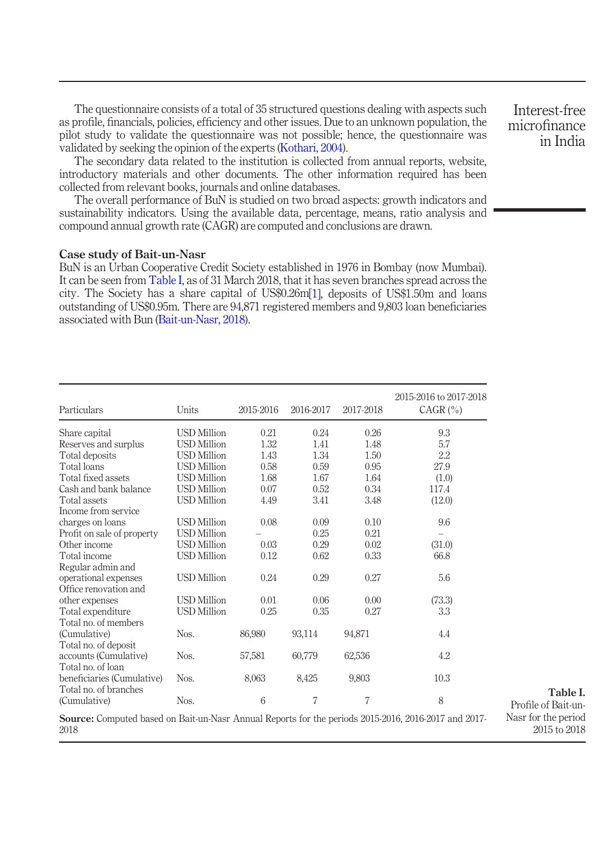The questionnaire consists of a total of 35 structured questions dealing with aspects such as profile, financials, policies, efficiency and other issues. Due to an unknown population, the pilot study to validate the questionnaire was not possible; hence, the questionnaire was validated by seeking the opinion of the experts [\(Kothari, 2004\)](#page-14-17).

The secondary data related to the institution is collected from annual reports, website, introductory materials and other documents. The other information required has been collected from relevant books, journals and online databases.

The overall performance of BuN is studied on two broad aspects: growth indicators and sustainability indicators. Using the available data, percentage, means, ratio analysis and compound annual growth rate (CAGR) are computed and conclusions are drawn.

# Case study of Bait-un-Nasr

BuN is an Urban Cooperative Credit Society established in 1976 in Bombay (now Mumbai). It can be seen from [Table I](#page-4-0), as of 31 March 2018, that it has seven branches spread across the city. The Society has a share capital of US\$0.26m[\[1](#page-13-2)], deposits of US\$1.50m and loans outstanding of US\$0.95m. There are 94,871 registered members and 9,803 loan beneficiaries associated with Bun ([Bait-un-Nasr, 2018\)](#page-14-18).

<span id="page-4-0"></span>

| Particulars                                                                                                         | Units              | 2015-2016 | 2016-2017 | 2017-2018 | 2015-2016 to 2017-2018<br>$CAGR$ $(\% )$ |                                     |
|---------------------------------------------------------------------------------------------------------------------|--------------------|-----------|-----------|-----------|------------------------------------------|-------------------------------------|
| Share capital                                                                                                       | <b>USD Million</b> | 0.21      | 0.24      | 0.26      | 9.3                                      |                                     |
| Reserves and surplus                                                                                                | <b>USD Million</b> | 1.32      | 1.41      | 1.48      | 5.7                                      |                                     |
| Total deposits                                                                                                      | <b>USD Million</b> | 1.43      | 1.34      | 1.50      | 2.2                                      |                                     |
| Total loans                                                                                                         | <b>USD Million</b> | 0.58      | 0.59      | 0.95      | 27.9                                     |                                     |
| Total fixed assets                                                                                                  | <b>USD Million</b> | 1.68      | 1.67      | 1.64      | (1.0)                                    |                                     |
| Cash and bank balance                                                                                               | <b>USD Million</b> | 0.07      | 0.52      | 0.34      | 117.4                                    |                                     |
| Total assets                                                                                                        | <b>USD Million</b> | 4.49      | 3.41      | 3.48      | (12.0)                                   |                                     |
| Income from service                                                                                                 |                    |           |           |           |                                          |                                     |
| charges on loans                                                                                                    | <b>USD Million</b> | 0.08      | 0.09      | 0.10      | 9.6                                      |                                     |
| Profit on sale of property                                                                                          | <b>USD Million</b> |           | 0.25      | 0.21      |                                          |                                     |
| Other income                                                                                                        | <b>USD Million</b> | 0.03      | 0.29      | 0.02      | (31.0)                                   |                                     |
| Total income                                                                                                        | <b>USD Million</b> | 0.12      | 0.62      | 0.33      | 66.8                                     |                                     |
| Regular admin and                                                                                                   |                    |           |           |           |                                          |                                     |
| operational expenses                                                                                                | <b>USD Million</b> | 0.24      | 0.29      | 0.27      | 5.6                                      |                                     |
| Office renovation and                                                                                               |                    |           |           |           |                                          |                                     |
| other expenses                                                                                                      | <b>USD Million</b> | 0.01      | 0.06      | 0.00      | (73.3)                                   |                                     |
| Total expenditure                                                                                                   | <b>USD Million</b> | 0.25      | 0.35      | 0.27      | 3.3                                      |                                     |
| Total no. of members                                                                                                |                    |           |           |           |                                          |                                     |
| (Cumulative)                                                                                                        | Nos.               | 86,980    | 93,114    | 94,871    | 4.4                                      |                                     |
| Total no. of deposit                                                                                                |                    |           |           |           |                                          |                                     |
| accounts (Cumulative)                                                                                               | Nos.               | 57,581    | 60,779    | 62,536    | 4.2                                      |                                     |
| Total no. of loan                                                                                                   |                    |           |           |           |                                          |                                     |
| beneficiaries (Cumulative)                                                                                          | Nos.               | 8,063     | 8,425     | 9,803     | 10.3                                     |                                     |
| Total no. of branches                                                                                               |                    |           |           |           |                                          | Table I.                            |
| (Cumulative)                                                                                                        | Nos.               | 6         | 7         | 7         | 8                                        | Profile of Bait-un-                 |
| <b>Source:</b> Computed based on Bait-un-Nasr Annual Reports for the periods 2015-2016, 2016-2017 and 2017-<br>2018 |                    |           |           |           |                                          | Nasr for the period<br>2015 to 2018 |

Interest-free microfinance in India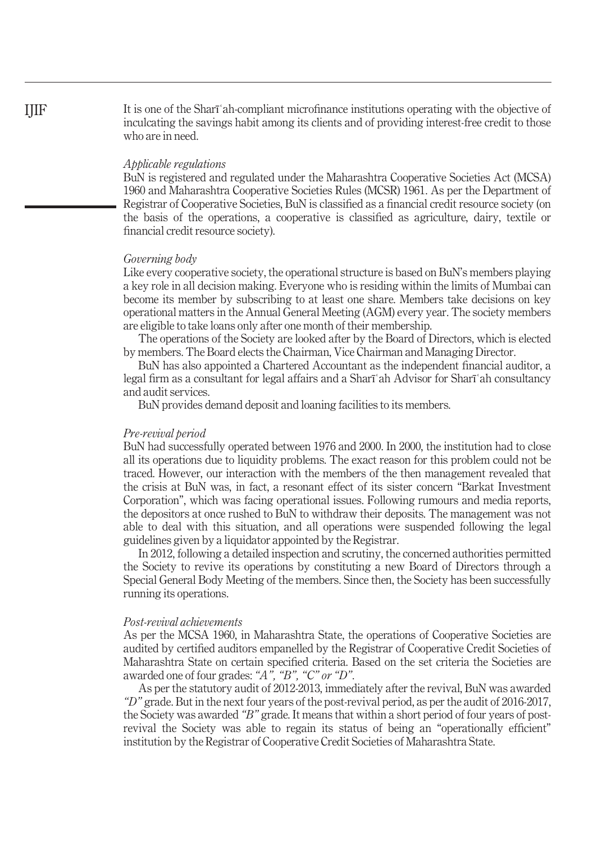It is one of the Sharīʿah-compliant microfinance institutions operating with the objective of inculcating the savings habit among its clients and of providing interest-free credit to those who are in need.

# Applicable regulations

BuN is registered and regulated under the Maharashtra Cooperative Societies Act (MCSA) 1960 and Maharashtra Cooperative Societies Rules (MCSR) 1961. As per the Department of Registrar of Cooperative Societies, BuN is classified as a financial credit resource society (on the basis of the operations, a cooperative is classified as agriculture, dairy, textile or financial credit resource society).

## Governing body

Like every cooperative society, the operational structure is based on BuN's members playing a key role in all decision making. Everyone who is residing within the limits of Mumbai can become its member by subscribing to at least one share. Members take decisions on key operational matters in the Annual General Meeting (AGM) every year. The society members are eligible to take loans only after one month of their membership.

The operations of the Society are looked after by the Board of Directors, which is elected by members. The Board elects the Chairman, Vice Chairman and Managing Director.

BuN has also appointed a Chartered Accountant as the independent financial auditor, a legal firm as a consultant for legal affairs and a Sharīʿah Advisor for Sharīʿah consultancy and audit services.

BuN provides demand deposit and loaning facilities to its members.

#### Pre-revival period

BuN had successfully operated between 1976 and 2000. In 2000, the institution had to close all its operations due to liquidity problems. The exact reason for this problem could not be traced. However, our interaction with the members of the then management revealed that the crisis at BuN was, in fact, a resonant effect of its sister concern "Barkat Investment Corporation", which was facing operational issues. Following rumours and media reports, the depositors at once rushed to BuN to withdraw their deposits. The management was not able to deal with this situation, and all operations were suspended following the legal guidelines given by a liquidator appointed by the Registrar.

In 2012, following a detailed inspection and scrutiny, the concerned authorities permitted the Society to revive its operations by constituting a new Board of Directors through a Special General Body Meeting of the members. Since then, the Society has been successfully running its operations.

#### Post-revival achievements

As per the MCSA 1960, in Maharashtra State, the operations of Cooperative Societies are audited by certified auditors empanelled by the Registrar of Cooperative Credit Societies of Maharashtra State on certain specified criteria. Based on the set criteria the Societies are awarded one of four grades: "A", "B", "C" or "D".

As per the statutory audit of 2012-2013, immediately after the revival, BuN was awarded "D" grade. But in the next four years of the post-revival period, as per the audit of 2016-2017, the Society was awarded "B" grade. It means that within a short period of four years of postrevival the Society was able to regain its status of being an "operationally efficient" institution by the Registrar of Cooperative Credit Societies of Maharashtra State.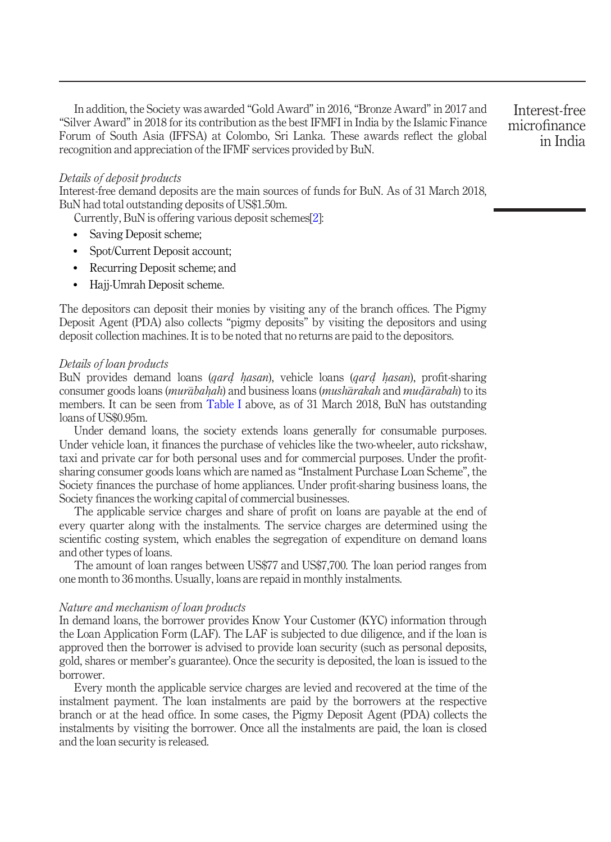In addition, the Society was awarded "Gold Award" in 2016,"Bronze Award" in 2017 and "Silver Award" in 2018 for its contribution as the best IFMFI in India by the Islamic Finance Forum of South Asia (IFFSA) at Colombo, Sri Lanka. These awards reflect the global recognition and appreciation of the IFMF services provided by BuN.

Interest-free microfinance in India

# Details of deposit products

Interest-free demand deposits are the main sources of funds for BuN. As of 31 March 2018, BuN had total outstanding deposits of US\$1.50m.

Currently, BuN is offering various deposit schemes[[2](#page-13-3)]:

- Saving Deposit scheme;
- Spot/Current Deposit account;
- Recurring Deposit scheme; and
- Hajj-Umrah Deposit scheme.

The depositors can deposit their monies by visiting any of the branch offices. The Pigmy Deposit Agent (PDA) also collects "pigmy deposits" by visiting the depositors and using deposit collection machines. It is to be noted that no returns are paid to the depositors.

#### Details of loan products

BuN provides demand loans (*gard hasan*), vehicle loans (*gard hasan*), profit-sharing<br>consumer goods loans (*murabahah*) and business loans (*musharakah* and *mudarahah*) to its consumer goods loans (*murābahah*) and business loans (*mushārakah* and *mudārabah*) to its<br>members. It can be seen from Table Labove, as of 31 March 2018. BuN bas outstanding members. It can be seen from [Table I](#page-4-0) above, as of 31 March 2018, BuN has outstanding loans of US\$0.95m.

Under demand loans, the society extends loans generally for consumable purposes. Under vehicle loan, it finances the purchase of vehicles like the two-wheeler, auto rickshaw, taxi and private car for both personal uses and for commercial purposes. Under the profitsharing consumer goods loans which are named as "Instalment Purchase Loan Scheme", the Society finances the purchase of home appliances. Under profit-sharing business loans, the Society finances the working capital of commercial businesses.

The applicable service charges and share of profit on loans are payable at the end of every quarter along with the instalments. The service charges are determined using the scientific costing system, which enables the segregation of expenditure on demand loans and other types of loans.

The amount of loan ranges between US\$77 and US\$7,700. The loan period ranges from one month to 36 months. Usually, loans are repaid in monthly instalments.

# Nature and mechanism of loan products

In demand loans, the borrower provides Know Your Customer (KYC) information through the Loan Application Form (LAF). The LAF is subjected to due diligence, and if the loan is approved then the borrower is advised to provide loan security (such as personal deposits, gold, shares or member's guarantee). Once the security is deposited, the loan is issued to the borrower.

Every month the applicable service charges are levied and recovered at the time of the instalment payment. The loan instalments are paid by the borrowers at the respective branch or at the head office. In some cases, the Pigmy Deposit Agent (PDA) collects the instalments by visiting the borrower. Once all the instalments are paid, the loan is closed and the loan security is released.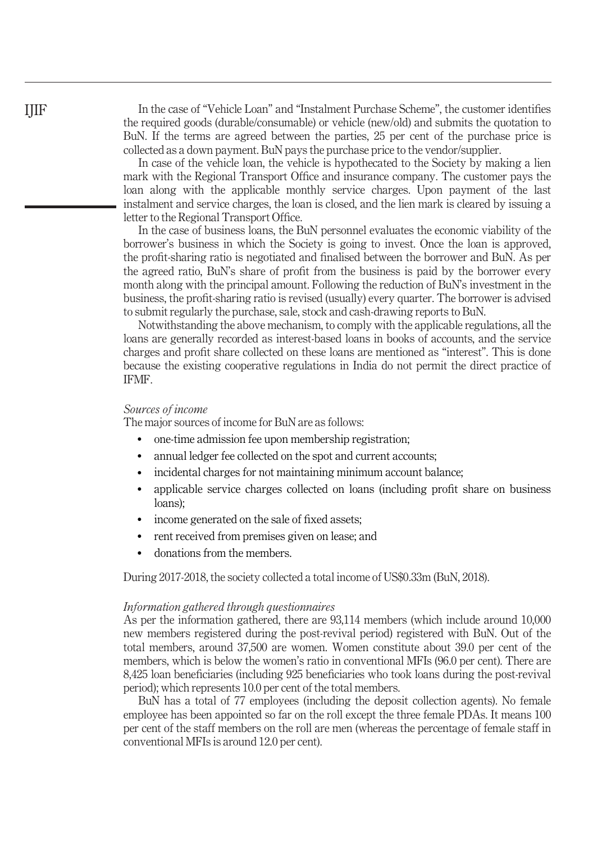In the case of "Vehicle Loan" and "Instalment Purchase Scheme", the customer identifies the required goods (durable/consumable) or vehicle (new/old) and submits the quotation to BuN. If the terms are agreed between the parties, 25 per cent of the purchase price is collected as a down payment. BuN pays the purchase price to the vendor/supplier.

In case of the vehicle loan, the vehicle is hypothecated to the Society by making a lien mark with the Regional Transport Office and insurance company. The customer pays the loan along with the applicable monthly service charges. Upon payment of the last instalment and service charges, the loan is closed, and the lien mark is cleared by issuing a letter to the Regional Transport Office.

In the case of business loans, the BuN personnel evaluates the economic viability of the borrower's business in which the Society is going to invest. Once the loan is approved, the profit-sharing ratio is negotiated and finalised between the borrower and BuN. As per the agreed ratio, BuN's share of profit from the business is paid by the borrower every month along with the principal amount. Following the reduction of BuN's investment in the business, the profit-sharing ratio is revised (usually) every quarter. The borrower is advised to submit regularly the purchase, sale, stock and cash-drawing reports to BuN.

Notwithstanding the above mechanism, to comply with the applicable regulations, all the loans are generally recorded as interest-based loans in books of accounts, and the service charges and profit share collected on these loans are mentioned as "interest". This is done because the existing cooperative regulations in India do not permit the direct practice of IFMF.

# Sources of income

The major sources of income for BuN are as follows:

- one-time admission fee upon membership registration;
- annual ledger fee collected on the spot and current accounts;
- incidental charges for not maintaining minimum account balance;
- applicable service charges collected on loans (including profit share on business loans);
- income generated on the sale of fixed assets;
- rent received from premises given on lease; and
- donations from the members.

During 2017-2018, the society collected a total income of US\$0.33m (BuN, 2018).

#### Information gathered through questionnaires

As per the information gathered, there are 93,114 members (which include around 10,000 new members registered during the post-revival period) registered with BuN. Out of the total members, around 37,500 are women. Women constitute about 39.0 per cent of the members, which is below the women's ratio in conventional MFIs (96.0 per cent). There are 8,425 loan beneficiaries (including 925 beneficiaries who took loans during the post-revival period); which represents 10.0 per cent of the total members.

BuN has a total of 77 employees (including the deposit collection agents). No female employee has been appointed so far on the roll except the three female PDAs. It means 100 per cent of the staff members on the roll are men (whereas the percentage of female staff in conventional MFIs is around 12.0 per cent).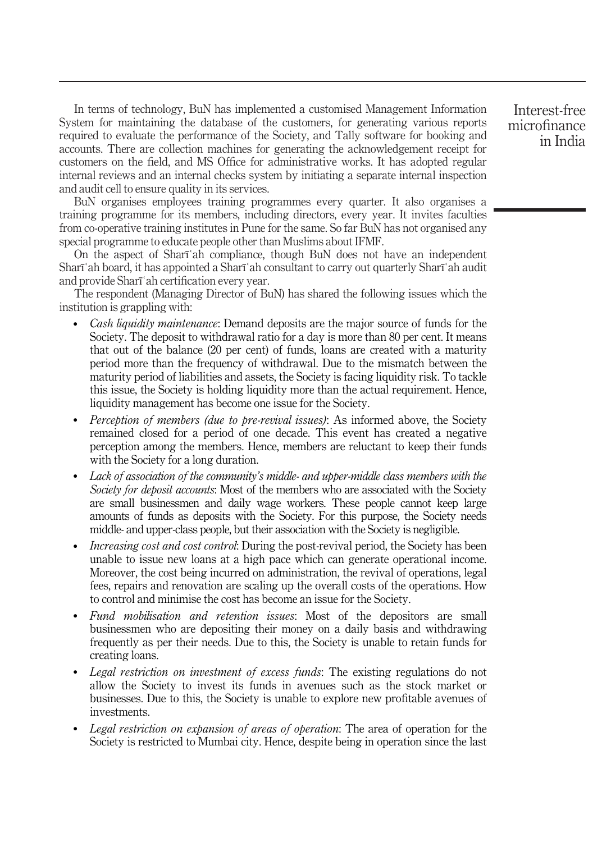In terms of technology, BuN has implemented a customised Management Information System for maintaining the database of the customers, for generating various reports required to evaluate the performance of the Society, and Tally software for booking and accounts. There are collection machines for generating the acknowledgement receipt for customers on the field, and MS Office for administrative works. It has adopted regular internal reviews and an internal checks system by initiating a separate internal inspection and audit cell to ensure quality in its services.

BuN organises employees training programmes every quarter. It also organises a training programme for its members, including directors, every year. It invites faculties from co-operative training institutes in Pune for the same. So far BuN has not organised any special programme to educate people other than Muslims about IFMF.

On the aspect of Sharīʿah compliance, though BuN does not have an independent Sharīʿah board, it has appointed a Sharīʿah consultant to carry out quarterly Sharīʿah audit and provide Sharīʿah certification every year.

The respondent (Managing Director of BuN) has shared the following issues which the institution is grappling with:

- Cash liquidity maintenance: Demand deposits are the major source of funds for the Society. The deposit to withdrawal ratio for a day is more than 80 per cent. It means that out of the balance (20 per cent) of funds, loans are created with a maturity period more than the frequency of withdrawal. Due to the mismatch between the maturity period of liabilities and assets, the Society is facing liquidity risk. To tackle this issue, the Society is holding liquidity more than the actual requirement. Hence, liquidity management has become one issue for the Society.
- Perception of members (due to pre-revival issues): As informed above, the Society remained closed for a period of one decade. This event has created a negative perception among the members. Hence, members are reluctant to keep their funds with the Society for a long duration.
- Lack of association of the community's middle- and upper-middle class members with the Society for deposit accounts: Most of the members who are associated with the Society are small businessmen and daily wage workers. These people cannot keep large amounts of funds as deposits with the Society. For this purpose, the Society needs middle- and upper-class people, but their association with the Society is negligible.
- *Increasing cost and cost control:* During the post-revival period, the Society has been unable to issue new loans at a high pace which can generate operational income. Moreover, the cost being incurred on administration, the revival of operations, legal fees, repairs and renovation are scaling up the overall costs of the operations. How to control and minimise the cost has become an issue for the Society.
- Fund mobilisation and retention issues: Most of the depositors are small businessmen who are depositing their money on a daily basis and withdrawing frequently as per their needs. Due to this, the Society is unable to retain funds for creating loans.
- Legal restriction on investment of excess funds: The existing regulations do not allow the Society to invest its funds in avenues such as the stock market or businesses. Due to this, the Society is unable to explore new profitable avenues of investments.
- Legal restriction on expansion of areas of operation: The area of operation for the Society is restricted to Mumbai city. Hence, despite being in operation since the last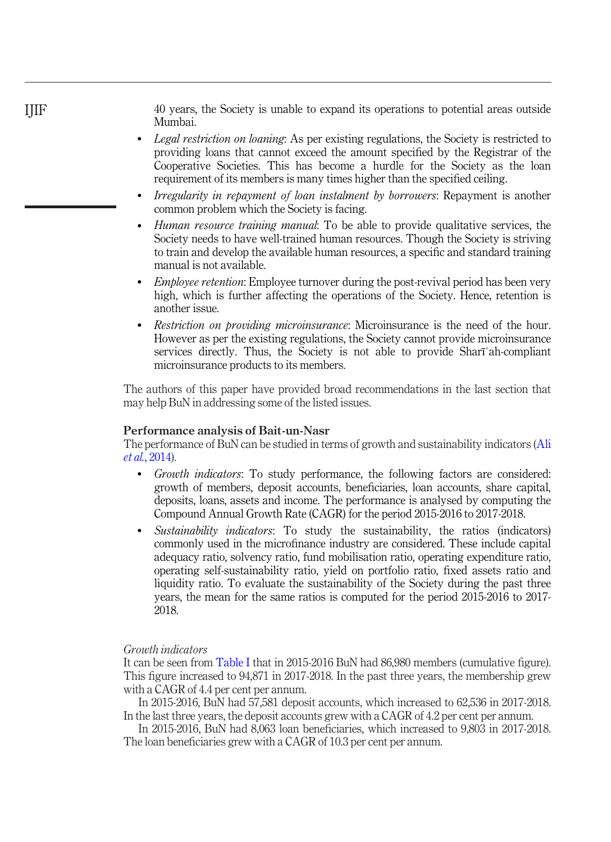40 years, the Society is unable to expand its operations to potential areas outside Mumbai.

- Legal restriction on loaning: As per existing regulations, the Society is restricted to providing loans that cannot exceed the amount specified by the Registrar of the Cooperative Societies. This has become a hurdle for the Society as the loan requirement of its members is many times higher than the specified ceiling.
- Irregularity in repayment of loan instalment by borrowers: Repayment is another common problem which the Society is facing.
- Human resource training manual: To be able to provide qualitative services, the Society needs to have well-trained human resources. Though the Society is striving to train and develop the available human resources, a specific and standard training manual is not available.
- Employee retention: Employee turnover during the post-revival period has been very high, which is further affecting the operations of the Society. Hence, retention is another issue.
- Restriction on providing microinsurance: Microinsurance is the need of the hour. However as per the existing regulations, the Society cannot provide microinsurance services directly. Thus, the Society is not able to provide Sharīʿah-compliant microinsurance products to its members.

The authors of this paper have provided broad recommendations in the last section that may help BuN in addressing some of the listed issues.

#### Performance analysis of Bait-un-Nasr

The performance of BuN can be studied in terms of growth and sustainability indicators [\(Ali](#page-14-19) et al.[, 2014](#page-14-19)).

- Growth indicators: To study performance, the following factors are considered: growth of members, deposit accounts, beneficiaries, loan accounts, share capital, deposits, loans, assets and income. The performance is analysed by computing the Compound Annual Growth Rate (CAGR) for the period 2015-2016 to 2017-2018.
- Sustainability indicators: To study the sustainability, the ratios (indicators) commonly used in the microfinance industry are considered. These include capital adequacy ratio, solvency ratio, fund mobilisation ratio, operating expenditure ratio, operating self-sustainability ratio, yield on portfolio ratio, fixed assets ratio and liquidity ratio. To evaluate the sustainability of the Society during the past three years, the mean for the same ratios is computed for the period 2015-2016 to 2017- 2018.

## Growth indicators

It can be seen from [Table I](#page-4-0) that in 2015-2016 BuN had 86,980 members (cumulative figure). This figure increased to 94,871 in 2017-2018. In the past three years, the membership grew with a CAGR of 4.4 per cent per annum.

In 2015-2016, BuN had 57,581 deposit accounts, which increased to 62,536 in 2017-2018. In the last three years, the deposit accounts grew with a CAGR of 4.2 per cent per annum.

In 2015-2016, BuN had 8,063 loan beneficiaries, which increased to 9,803 in 2017-2018. The loan beneficiaries grew with a CAGR of 10.3 per cent per annum.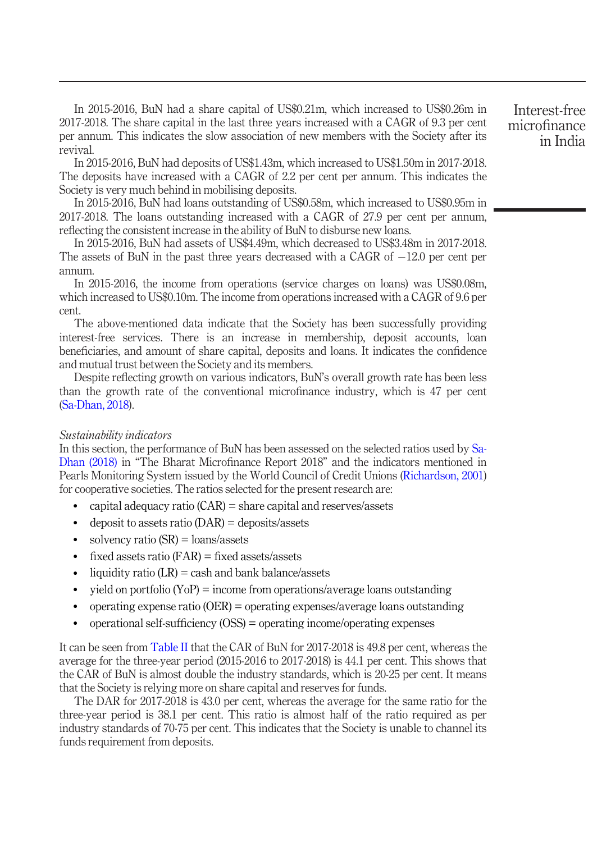In 2015-2016, BuN had a share capital of US\$0.21m, which increased to US\$0.26m in 2017-2018. The share capital in the last three years increased with a CAGR of 9.3 per cent per annum. This indicates the slow association of new members with the Society after its revival.

In 2015-2016, BuN had deposits of US\$1.43m, which increased to US\$1.50m in 2017-2018. The deposits have increased with a CAGR of 2.2 per cent per annum. This indicates the Society is very much behind in mobilising deposits.

In 2015-2016, BuN had loans outstanding of US\$0.58m, which increased to US\$0.95m in 2017-2018. The loans outstanding increased with a CAGR of 27.9 per cent per annum, reflecting the consistent increase in the ability of BuN to disburse new loans.

In 2015-2016, BuN had assets of US\$4.49m, which decreased to US\$3.48m in 2017-2018. The assets of BuN in the past three years decreased with a CAGR of  $-12.0$  per cent per annum.

In 2015-2016, the income from operations (service charges on loans) was US\$0.08m, which increased to US\$0.10m. The income from operations increased with a CAGR of 9.6 per cent.

The above-mentioned data indicate that the Society has been successfully providing interest-free services. There is an increase in membership, deposit accounts, loan beneficiaries, and amount of share capital, deposits and loans. It indicates the confidence and mutual trust between the Society and its members.

Despite reflecting growth on various indicators, BuN's overall growth rate has been less than the growth rate of the conventional microfinance industry, which is 47 per cent [\(Sa-Dhan, 2018](#page-15-1)).

# Sustainability indicators

In this section, the performance of BuN has been assessed on the selected ratios used by [Sa-](#page-15-1)[Dhan \(2018\)](#page-15-1) in "The Bharat Microfinance Report 2018" and the indicators mentioned in Pearls Monitoring System issued by the World Council of Credit Unions ([Richardson, 2001\)](#page-15-7) for cooperative societies. The ratios selected for the present research are:

- capital adequacy ratio (CAR) = share capital and reserves/assets
- deposit to assets ratio  $(DAR) =$  deposits/assets
- $\bullet$  solvency ratio (SR) = loans/assets
- fixed assets ratio  $(FAR)$  = fixed assets/assets
- liquidity ratio  $(LR) = \cosh$  and bank balance/assets
- yield on portfolio  $(YoP)$  = income from operations/average loans outstanding
- operating expense ratio (OER) = operating expenses/average loans outstanding
- operational self-sufficiency (OSS) = operating income/operating expenses

It can be seen from [Table II](#page-11-0) that the CAR of BuN for 2017-2018 is 49.8 per cent, whereas the average for the three-year period (2015-2016 to 2017-2018) is 44.1 per cent. This shows that the CAR of BuN is almost double the industry standards, which is 20-25 per cent. It means that the Society is relying more on share capital and reserves for funds.

The DAR for 2017-2018 is 43.0 per cent, whereas the average for the same ratio for the three-year period is 38.1 per cent. This ratio is almost half of the ratio required as per industry standards of 70-75 per cent. This indicates that the Society is unable to channel its funds requirement from deposits.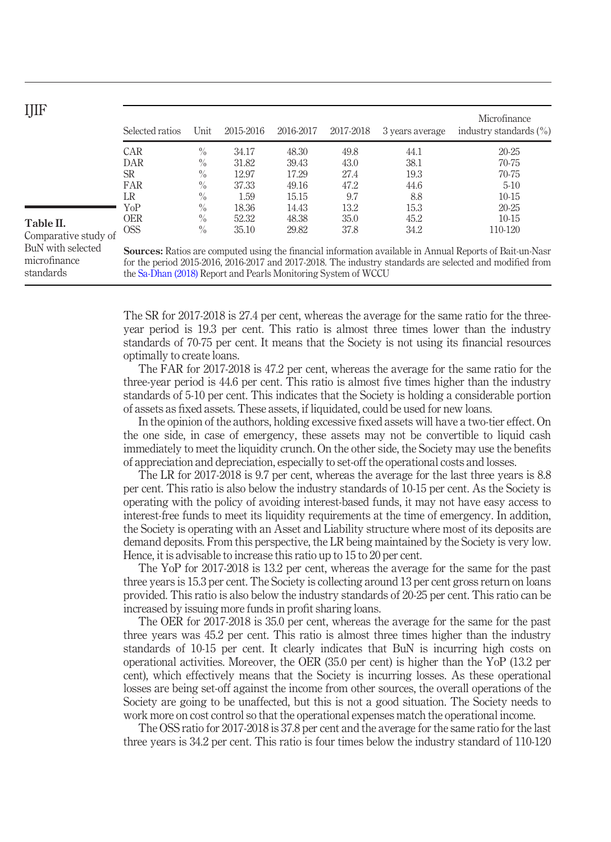<span id="page-11-0"></span>

| ۰, | ٠ | ٠ |
|----|---|---|
|    |   |   |

| IJIF                              |                                                                                                                                                                                                                             |      |           |           |           |                 |                                            |  |  |
|-----------------------------------|-----------------------------------------------------------------------------------------------------------------------------------------------------------------------------------------------------------------------------|------|-----------|-----------|-----------|-----------------|--------------------------------------------|--|--|
|                                   | Selected ratios                                                                                                                                                                                                             | Unit | 2015-2016 | 2016-2017 | 2017-2018 | 3 years average | Microfinance<br>industry standards $(\% )$ |  |  |
|                                   | CAR                                                                                                                                                                                                                         | $\%$ | 34.17     | 48.30     | 49.8      | 44.1            | $20-25$                                    |  |  |
|                                   | DAR                                                                                                                                                                                                                         | $\%$ | 31.82     | 39.43     | 43.0      | 38.1            | 70-75                                      |  |  |
|                                   | SR                                                                                                                                                                                                                          | $\%$ | 12.97     | 17.29     | 27.4      | 19.3            | 70-75                                      |  |  |
|                                   | FAR                                                                                                                                                                                                                         | $\%$ | 37.33     | 49.16     | 47.2      | 44.6            | $5-10$                                     |  |  |
|                                   | LR                                                                                                                                                                                                                          | $\%$ | 1.59      | 15.15     | 9.7       | 8.8             | $10-15$                                    |  |  |
|                                   | YoP                                                                                                                                                                                                                         | $\%$ | 18.36     | 14.43     | 13.2      | 15.3            | $20 - 25$                                  |  |  |
| Table II.                         | <b>OER</b>                                                                                                                                                                                                                  | $\%$ | 52.32     | 48.38     | 35.0      | 45.2            | $10-15$                                    |  |  |
| Comparative study of              | <b>OSS</b>                                                                                                                                                                                                                  | $\%$ | 35.10     | 29.82     | 37.8      | 34.2            | 110-120                                    |  |  |
| BuN with selected<br>microfinance | <b>Sources:</b> Ratios are computed using the financial information available in Annual Reports of Bait-un-Nasr<br>for the period 2015-2016, 2016-2017 and 2017-2018. The industry standards are selected and modified from |      |           |           |           |                 |                                            |  |  |
| standards                         | the Sa-Dhan (2018) Report and Pearls Monitoring System of WCCU                                                                                                                                                              |      |           |           |           |                 |                                            |  |  |

The SR for 2017-2018 is 27.4 per cent, whereas the average for the same ratio for the threeyear period is 19.3 per cent. This ratio is almost three times lower than the industry standards of 70-75 per cent. It means that the Society is not using its financial resources optimally to create loans.

The FAR for 2017-2018 is 47.2 per cent, whereas the average for the same ratio for the three-year period is 44.6 per cent. This ratio is almost five times higher than the industry standards of 5-10 per cent. This indicates that the Society is holding a considerable portion of assets as fixed assets. These assets, if liquidated, could be used for new loans.

In the opinion of the authors, holding excessive fixed assets will have a two-tier effect. On the one side, in case of emergency, these assets may not be convertible to liquid cash immediately to meet the liquidity crunch. On the other side, the Society may use the benefits of appreciation and depreciation, especially to set-off the operational costs and losses.

The LR for 2017-2018 is 9.7 per cent, whereas the average for the last three years is 8.8 per cent. This ratio is also below the industry standards of 10-15 per cent. As the Society is operating with the policy of avoiding interest-based funds, it may not have easy access to interest-free funds to meet its liquidity requirements at the time of emergency. In addition, the Society is operating with an Asset and Liability structure where most of its deposits are demand deposits. From this perspective, the LR being maintained by the Society is very low. Hence, it is advisable to increase this ratio up to 15 to 20 per cent.

The YoP for 2017-2018 is 13.2 per cent, whereas the average for the same for the past three years is 15.3 per cent. The Society is collecting around 13 per cent gross return on loans provided. This ratio is also below the industry standards of 20-25 per cent. This ratio can be increased by issuing more funds in profit sharing loans.

The OER for 2017-2018 is 35.0 per cent, whereas the average for the same for the past three years was 45.2 per cent. This ratio is almost three times higher than the industry standards of 10-15 per cent. It clearly indicates that BuN is incurring high costs on operational activities. Moreover, the OER (35.0 per cent) is higher than the YoP (13.2 per cent), which effectively means that the Society is incurring losses. As these operational losses are being set-off against the income from other sources, the overall operations of the Society are going to be unaffected, but this is not a good situation. The Society needs to work more on cost control so that the operational expenses match the operational income.

The OSS ratio for 2017-2018 is 37.8 per cent and the average for the same ratio for the last three years is 34.2 per cent. This ratio is four times below the industry standard of 110-120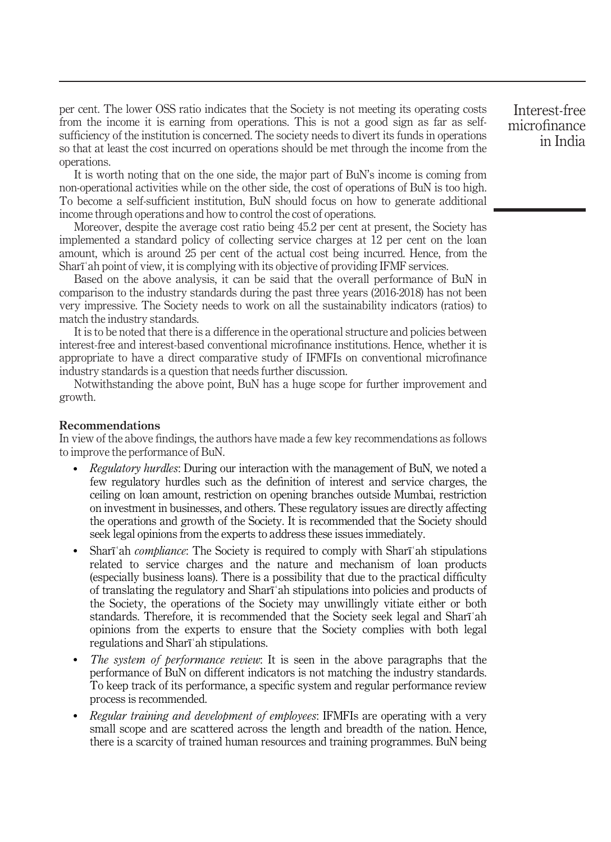per cent. The lower OSS ratio indicates that the Society is not meeting its operating costs from the income it is earning from operations. This is not a good sign as far as selfsufficiency of the institution is concerned. The society needs to divert its funds in operations so that at least the cost incurred on operations should be met through the income from the operations.

It is worth noting that on the one side, the major part of BuN's income is coming from non-operational activities while on the other side, the cost of operations of BuN is too high. To become a self-sufficient institution, BuN should focus on how to generate additional income through operations and how to control the cost of operations.

Moreover, despite the average cost ratio being 45.2 per cent at present, the Society has implemented a standard policy of collecting service charges at 12 per cent on the loan amount, which is around 25 per cent of the actual cost being incurred. Hence, from the Sharīʿah point of view, it is complying with its objective of providing IFMF services.

Based on the above analysis, it can be said that the overall performance of BuN in comparison to the industry standards during the past three years (2016-2018) has not been very impressive. The Society needs to work on all the sustainability indicators (ratios) to match the industry standards.

It is to be noted that there is a difference in the operational structure and policies between interest-free and interest-based conventional microfinance institutions. Hence, whether it is appropriate to have a direct comparative study of IFMFIs on conventional microfinance industry standards is a question that needs further discussion.

Notwithstanding the above point, BuN has a huge scope for further improvement and growth.

#### Recommendations

In view of the above findings, the authors have made a few key recommendations as follows to improve the performance of BuN.

- Regulatory hurdles: During our interaction with the management of BuN, we noted a few regulatory hurdles such as the definition of interest and service charges, the ceiling on loan amount, restriction on opening branches outside Mumbai, restriction on investment in businesses, and others. These regulatory issues are directly affecting the operations and growth of the Society. It is recommended that the Society should seek legal opinions from the experts to address these issues immediately.
- Sharī'ah *compliance*: The Society is required to comply with Sharī'ah stipulations related to service charges and the nature and mechanism of loan products (especially business loans). There is a possibility that due to the practical difficulty of translating the regulatory and Sharīʿah stipulations into policies and products of the Society, the operations of the Society may unwillingly vitiate either or both standards. Therefore, it is recommended that the Society seek legal and Sharīʿah opinions from the experts to ensure that the Society complies with both legal regulations and Sharīʿah stipulations.
- The system of performance review: It is seen in the above paragraphs that the performance of BuN on different indicators is not matching the industry standards. To keep track of its performance, a specific system and regular performance review process is recommended.
- Regular training and development of employees: IFMFIs are operating with a very small scope and are scattered across the length and breadth of the nation. Hence, there is a scarcity of trained human resources and training programmes. BuN being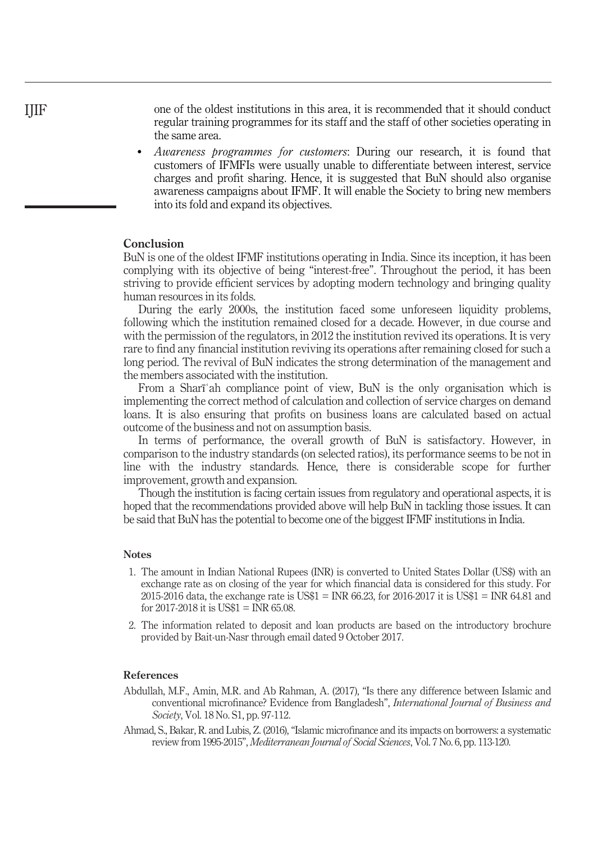one of the oldest institutions in this area, it is recommended that it should conduct regular training programmes for its staff and the staff of other societies operating in the same area.

 Awareness programmes for customers: During our research, it is found that customers of IFMFIs were usually unable to differentiate between interest, service charges and profit sharing. Hence, it is suggested that BuN should also organise awareness campaigns about IFMF. It will enable the Society to bring new members into its fold and expand its objectives.

## Conclusion

BuN is one of the oldest IFMF institutions operating in India. Since its inception, it has been complying with its objective of being "interest-free". Throughout the period, it has been striving to provide efficient services by adopting modern technology and bringing quality human resources in its folds.

During the early 2000s, the institution faced some unforeseen liquidity problems, following which the institution remained closed for a decade. However, in due course and with the permission of the regulators, in 2012 the institution revived its operations. It is very rare to find any financial institution reviving its operations after remaining closed for such a long period. The revival of BuN indicates the strong determination of the management and the members associated with the institution.

From a Sharīʿah compliance point of view, BuN is the only organisation which is implementing the correct method of calculation and collection of service charges on demand loans. It is also ensuring that profits on business loans are calculated based on actual outcome of the business and not on assumption basis.

In terms of performance, the overall growth of BuN is satisfactory. However, in comparison to the industry standards (on selected ratios), its performance seems to be not in line with the industry standards. Hence, there is considerable scope for further improvement, growth and expansion.

Though the institution is facing certain issues from regulatory and operational aspects, it is hoped that the recommendations provided above will help BuN in tackling those issues. It can be said that BuN has the potential to become one of the biggest IFMF institutions in India.

#### **Notes**

- <span id="page-13-2"></span>1. The amount in Indian National Rupees (INR) is converted to United States Dollar (US\$) with an exchange rate as on closing of the year for which financial data is considered for this study. For 2015-2016 data, the exchange rate is US\$1 = INR 66.23, for 2016-2017 it is US\$1 = INR 64.81 and for  $2017-2018$  it is US\$1 = INR 65.08.
- <span id="page-13-3"></span>2. The information related to deposit and loan products are based on the introductory brochure provided by Bait-un-Nasr through email dated 9 October 2017.

#### References

- <span id="page-13-1"></span>Abdullah, M.F., Amin, M.R. and Ab Rahman, A. (2017), "Is there any difference between Islamic and conventional microfinance? Evidence from Bangladesh", International Journal of Business and Society, Vol. 18 No. S1, pp. 97-112.
- <span id="page-13-0"></span>Ahmad, S., Bakar, R. and Lubis, Z. (2016),"Islamic microfinance and its impacts on borrowers: a systematic review from 1995-2015", Mediterranean Journal of Social Sciences, Vol. 7 No. 6, pp. 113-120.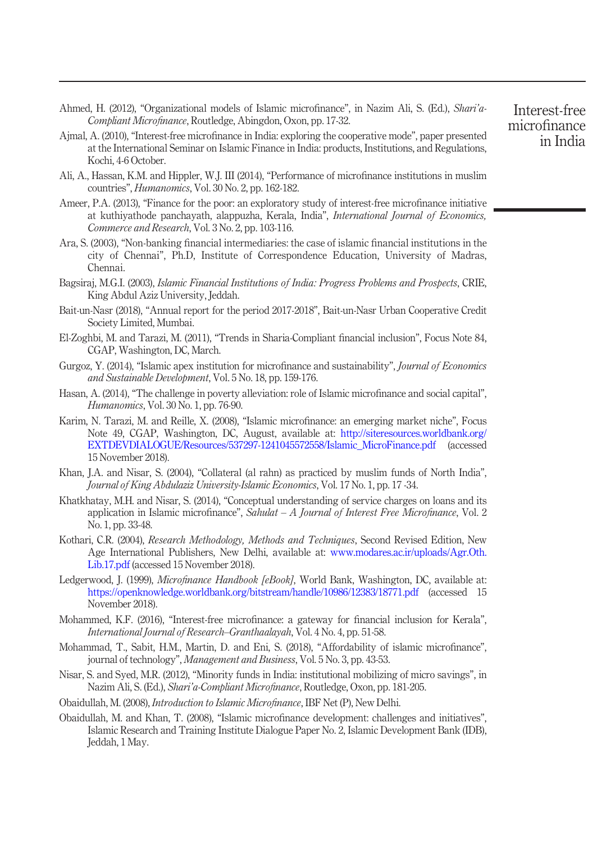- <span id="page-14-6"></span>Ahmed, H. (2012), "Organizational models of Islamic microfinance", in Nazim Ali, S. (Ed.), Shari'a-Compliant Microfinance, Routledge, Abingdon, Oxon, pp. 17-32.
- <span id="page-14-12"></span>Ajmal, A. (2010), "Interest-free microfinance in India: exploring the cooperative mode", paper presented at the International Seminar on Islamic Finance in India: products, Institutions, and Regulations, Kochi, 4-6 October.
- <span id="page-14-19"></span>Ali, A., Hassan, K.M. and Hippler, W.J. III (2014), "Performance of microfinance institutions in muslim countries", Humanomics, Vol. 30 No. 2, pp. 162-182.
- <span id="page-14-15"></span>Ameer, P.A. (2013), "Finance for the poor: an exploratory study of interest-free microfinance initiative at kuthiyathode panchayath, alappuzha, Kerala, India", International Journal of Economics, Commerce and Research, Vol. 3 No. 2, pp. 103-116.
- <span id="page-14-9"></span>Ara, S. (2003), "Non-banking financial intermediaries: the case of islamic financial institutions in the city of Chennai", Ph.D, Institute of Correspondence Education, University of Madras, Chennai.
- <span id="page-14-3"></span>Bagsiraj, M.G.I. (2003), Islamic Financial Institutions of India: Progress Problems and Prospects, CRIE, King Abdul Aziz University, Jeddah.
- <span id="page-14-18"></span>Bait-un-Nasr (2018), "Annual report for the period 2017-2018", Bait-un-Nasr Urban Cooperative Credit Society Limited, Mumbai.
- <span id="page-14-5"></span>El-Zoghbi, M. and Tarazi, M. (2011), "Trends in Sharia-Compliant financial inclusion", Focus Note 84, CGAP, Washington, DC, March.
- <span id="page-14-7"></span>Gurgoz, Y. (2014), "Islamic apex institution for microfinance and sustainability", *Journal of Economics* and Sustainable Development, Vol. 5 No. 18, pp. 159-176.
- <span id="page-14-14"></span>Hasan, A. (2014), "The challenge in poverty alleviation: role of Islamic microfinance and social capital", Humanomics, Vol. 30 No. 1, pp. 76-90.
- <span id="page-14-1"></span>Karim, N. Tarazi, M. and Reille, X. (2008), "Islamic microfinance: an emerging market niche", Focus Note 49, CGAP, Washington, DC, August, available at: [http://siteresources.worldbank.org/](http://siteresources.worldbank.org/EXTDEVDIALOGUE/Resources/537297-1241045572558/Islamic_MicroFinance.pdf) [EXTDEVDIALOGUE/Resources/537297-1241045572558/Islamic\\_MicroFinance.pdf](http://siteresources.worldbank.org/EXTDEVDIALOGUE/Resources/537297-1241045572558/Islamic_MicroFinance.pdf) (accessed 15 November 2018).
- <span id="page-14-10"></span>Khan, J.A. and Nisar, S. (2004), "Collateral (al rahn) as practiced by muslim funds of North India", Journal of King Abdulaziz University-Islamic Economics, Vol. 17 No. 1, pp. 17 -34.
- <span id="page-14-13"></span>Khatkhatay, M.H. and Nisar, S. (2014), "Conceptual understanding of service charges on loans and its application in Islamic microfinance", Sahulat  $-A$  Journal of Interest Free Microfinance, Vol. 2 No. 1, pp. 33-48.
- <span id="page-14-17"></span>Kothari, C.R. (2004), Research Methodology, Methods and Techniques, Second Revised Edition, New Age International Publishers, New Delhi, available at: [www.modares.ac.ir/uploads/Agr.Oth.](http://www.modares.ac.ir/uploads/Agr.Oth.Lib.17.pdf) [Lib.17.pdf](http://www.modares.ac.ir/uploads/Agr.Oth.Lib.17.pdf) (accessed 15 November 2018).
- <span id="page-14-0"></span>Ledgerwood, J. (1999), Microfinance Handbook [eBook], World Bank, Washington, DC, available at: <https://openknowledge.worldbank.org/bitstream/handle/10986/12383/18771.pdf> (accessed 15 November 2018).
- <span id="page-14-16"></span>Mohammed, K.F. (2016), "Interest-free microfinance: a gateway for financial inclusion for Kerala", International Journal of Research–Granthaalayah, Vol. 4 No. 4, pp. 51-58.
- <span id="page-14-8"></span>Mohammad, T., Sabit, H.M., Martin, D. and Eni, S. (2018), "Affordability of islamic microfinance", journal of technology", Management and Business, Vol. 5 No. 3, pp. 43-53.
- <span id="page-14-11"></span>Nisar, S. and Syed, M.R. (2012), "Minority funds in India: institutional mobilizing of micro savings", in Nazim Ali, S. (Ed.), Shari'a-Compliant Microfinance, Routledge, Oxon, pp. 181-205.
- <span id="page-14-4"></span>Obaidullah, M. (2008), Introduction to Islamic Microfinance, IBF Net (P), New Delhi.
- <span id="page-14-2"></span>Obaidullah, M. and Khan, T. (2008), "Islamic microfinance development: challenges and initiatives", Islamic Research and Training Institute Dialogue Paper No. 2, Islamic Development Bank (IDB), Jeddah, 1 May.